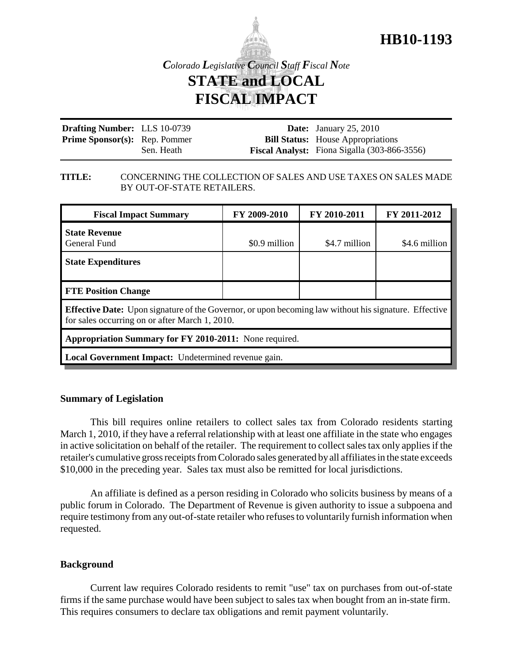

*Colorado Legislative Council Staff Fiscal Note* **STATE and LOCAL FISCAL IMPACT**

| <b>Drafting Number:</b> LLS 10-0739  |            | <b>Date:</b> January 25, 2010                       |
|--------------------------------------|------------|-----------------------------------------------------|
| <b>Prime Sponsor(s):</b> Rep. Pommer |            | <b>Bill Status:</b> House Appropriations            |
|                                      | Sen. Heath | <b>Fiscal Analyst:</b> Fiona Sigalla (303-866-3556) |

#### **TITLE:** CONCERNING THE COLLECTION OF SALES AND USE TAXES ON SALES MADE BY OUT-OF-STATE RETAILERS.

| <b>Fiscal Impact Summary</b>                                                                                                                                   | FY 2009-2010  | FY 2010-2011  | FY 2011-2012  |  |  |
|----------------------------------------------------------------------------------------------------------------------------------------------------------------|---------------|---------------|---------------|--|--|
| <b>State Revenue</b><br>General Fund                                                                                                                           | \$0.9 million | \$4.7 million | \$4.6 million |  |  |
| <b>State Expenditures</b>                                                                                                                                      |               |               |               |  |  |
| <b>FTE Position Change</b>                                                                                                                                     |               |               |               |  |  |
| <b>Effective Date:</b> Upon signature of the Governor, or upon becoming law without his signature. Effective<br>for sales occurring on or after March 1, 2010. |               |               |               |  |  |
| Appropriation Summary for FY 2010-2011: None required.                                                                                                         |               |               |               |  |  |
| Local Government Impact: Undetermined revenue gain.                                                                                                            |               |               |               |  |  |

#### **Summary of Legislation**

This bill requires online retailers to collect sales tax from Colorado residents starting March 1, 2010, if they have a referral relationship with at least one affiliate in the state who engages in active solicitation on behalf of the retailer. The requirement to collect sales tax only applies if the retailer's cumulative gross receipts from Colorado sales generated by all affiliates in the state exceeds \$10,000 in the preceding year. Sales tax must also be remitted for local jurisdictions.

An affiliate is defined as a person residing in Colorado who solicits business by means of a public forum in Colorado. The Department of Revenue is given authority to issue a subpoena and require testimony from any out-of-state retailer who refuses to voluntarily furnish information when requested.

### **Background**

Current law requires Colorado residents to remit "use" tax on purchases from out-of-state firms if the same purchase would have been subject to sales tax when bought from an in-state firm. This requires consumers to declare tax obligations and remit payment voluntarily.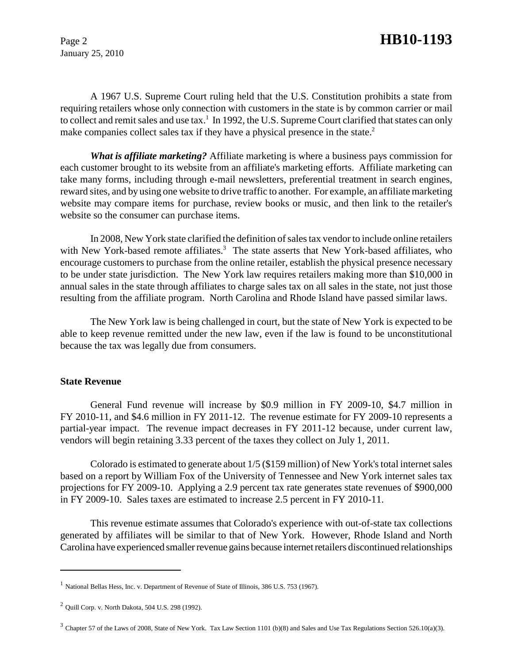January 25, 2010

A 1967 U.S. Supreme Court ruling held that the U.S. Constitution prohibits a state from requiring retailers whose only connection with customers in the state is by common carrier or mail to collect and remit sales and use tax.<sup>1</sup> In 1992, the U.S. Supreme Court clarified that states can only make companies collect sales tax if they have a physical presence in the state.<sup>2</sup>

*What is affiliate marketing?* Affiliate marketing is where a business pays commission for each customer brought to its website from an affiliate's marketing efforts. Affiliate marketing can take many forms, including through e-mail newsletters, preferential treatment in search engines, reward sites, and by using one website to drive traffic to another. For example, an affiliate marketing website may compare items for purchase, review books or music, and then link to the retailer's website so the consumer can purchase items.

In 2008, New York state clarified the definition of sales tax vendor to include online retailers with New York-based remote affiliates.<sup>3</sup> The state asserts that New York-based affiliates, who encourage customers to purchase from the online retailer, establish the physical presence necessary to be under state jurisdiction. The New York law requires retailers making more than \$10,000 in annual sales in the state through affiliates to charge sales tax on all sales in the state, not just those resulting from the affiliate program. North Carolina and Rhode Island have passed similar laws.

The New York law is being challenged in court, but the state of New York is expected to be able to keep revenue remitted under the new law, even if the law is found to be unconstitutional because the tax was legally due from consumers.

#### **State Revenue**

General Fund revenue will increase by \$0.9 million in FY 2009-10, \$4.7 million in FY 2010-11, and \$4.6 million in FY 2011-12. The revenue estimate for FY 2009-10 represents a partial-year impact. The revenue impact decreases in FY 2011-12 because, under current law, vendors will begin retaining 3.33 percent of the taxes they collect on July 1, 2011.

Colorado is estimated to generate about 1/5 (\$159 million) of New York's total internet sales based on a report by William Fox of the University of Tennessee and New York internet sales tax projections for FY 2009-10. Applying a 2.9 percent tax rate generates state revenues of \$900,000 in FY 2009-10. Sales taxes are estimated to increase 2.5 percent in FY 2010-11.

This revenue estimate assumes that Colorado's experience with out-of-state tax collections generated by affiliates will be similar to that of New York. However, Rhode Island and North Carolina have experienced smaller revenue gains because internet retailers discontinued relationships

<sup>&</sup>lt;sup>1</sup> National Bellas Hess, Inc. v. Department of Revenue of State of Illinois, 386 U.S. 753 (1967).

<sup>2</sup> Quill Corp. v. North Dakota, 504 U.S. 298 (1992).

 $3$  Chapter 57 of the Laws of 2008, State of New York. Tax Law Section 1101 (b)(8) and Sales and Use Tax Regulations Section 526.10(a)(3).